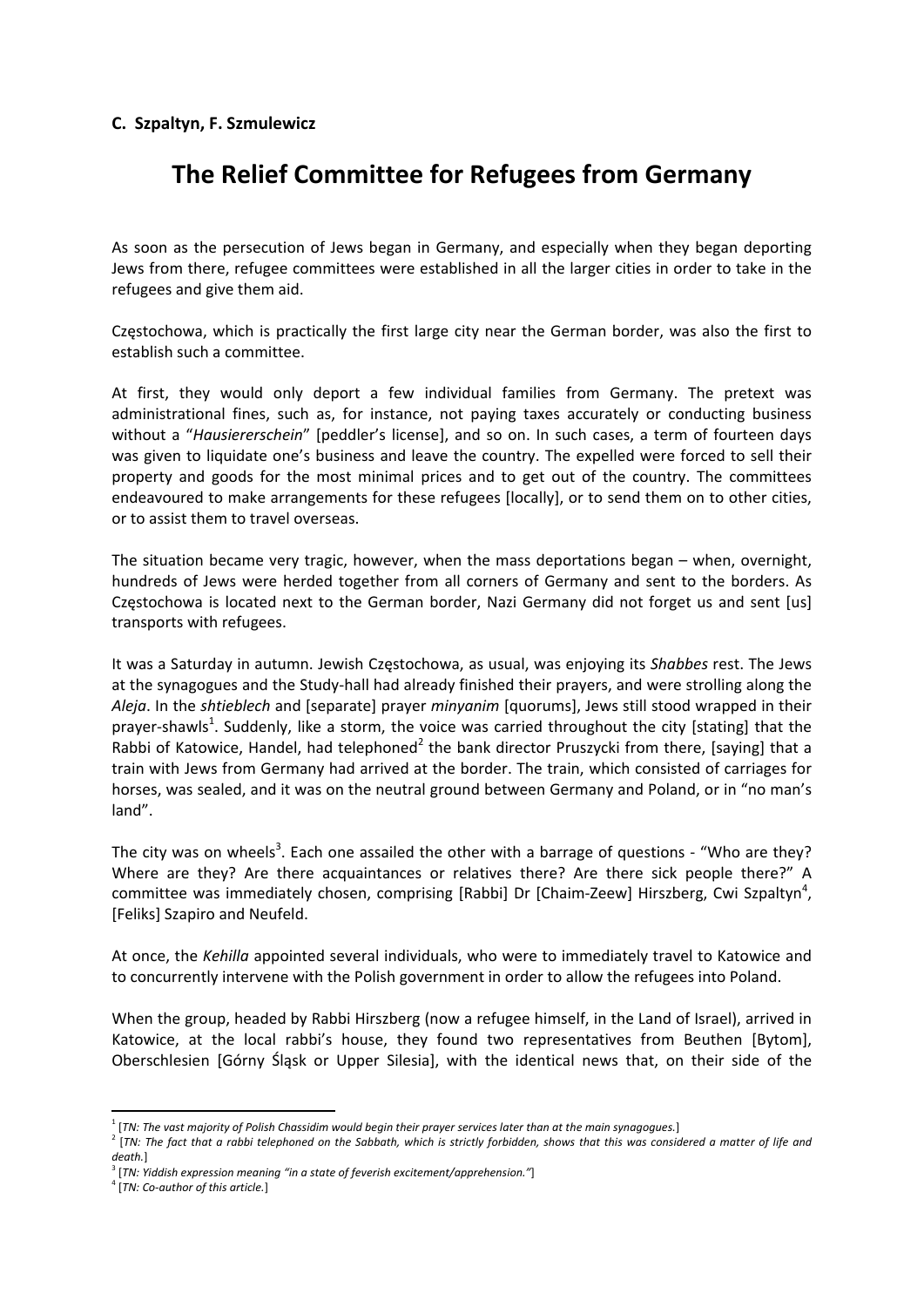## **C. Szpaltyn, F. Szmulewicz**

## **The Relief Committee for Refugees from Germany**

As soon as the persecution of Jews began in Germany, and especially when they began deporting Jews from there, refugee committees were established in all the larger cities in order to take in the refugees and give them aid.

Częstochowa, which is practically the first large city near the German border, was also the first to establish such a committee.

At first, they would only deport a few individual families from Germany. The pretext was administrational fines, such as, for instance, not paying taxes accurately or conducting business without a "*Hausiererschein*" [peddler's license], and so on. In such cases, a term of fourteen days was given to liquidate one's business and leave the country. The expelled were forced to sell their property and goods for the most minimal prices and to get out of the country. The committees endeavoured to make arrangements for these refugees [locally], or to send them on to other cities, or to assist them to travel overseas.

The situation became very tragic, however, when the mass deportations began – when, overnight, hundreds of Jews were herded together from all corners of Germany and sent to the borders. As Częstochowa is located next to the German border, Nazi Germany did not forget us and sent [us] transports with refugees.

It was a Saturday in autumn. Jewish Częstochowa, as usual, was enjoying its *Shabbes* rest. The Jews at the synagogues and the Study‐hall had already finished their prayers, and were strolling along the *Aleja*. In the *shtieblech* and [separate] prayer *minyanim* [quorums], Jews still stood wrapped in their prayer-shawls<sup>1</sup>. Suddenly, like a storm, the voice was carried throughout the city [stating] that the Rabbi of Katowice, Handel, had telephoned<sup>2</sup> the bank director Pruszycki from there, [saying] that a train with Jews from Germany had arrived at the border. The train, which consisted of carriages for horses, was sealed, and it was on the neutral ground between Germany and Poland, or in "no man's land".

The city was on wheels<sup>3</sup>. Each one assailed the other with a barrage of questions - "Who are they? Where are they? Are there acquaintances or relatives there? Are there sick people there?" A committee was immediately chosen, comprising [Rabbi] Dr [Chaim-Zeew] Hirszberg, Cwi Szpaltyn<sup>4</sup>, [Feliks] Szapiro and Neufeld.

At once, the *Kehilla* appointed several individuals, who were to immediately travel to Katowice and to concurrently intervene with the Polish government in order to allow the refugees into Poland.

When the group, headed by Rabbi Hirszberg (now a refugee himself, in the Land of Israel), arrived in Katowice, at the local rabbi's house, they found two representatives from Beuthen [Bytom], Oberschlesien [Górny Śląsk or Upper Silesia], with the identical news that, on their side of the

 $^1$  [TN: The vast majority of Polish Chassidim would begin their prayer services later than at the main synagogues.]

<sup>&</sup>lt;sup>2</sup> [TN: The fact that a rabbi telephoned on the Sabbath, which is strictly forbidden, shows that this was considered a matter of life and *death.*]

<sup>3</sup> [*TN: Yiddish expression meaning "in a state of feverish excitement/apprehension."*]

<sup>4</sup> [*TN: Co‐author of this article.*]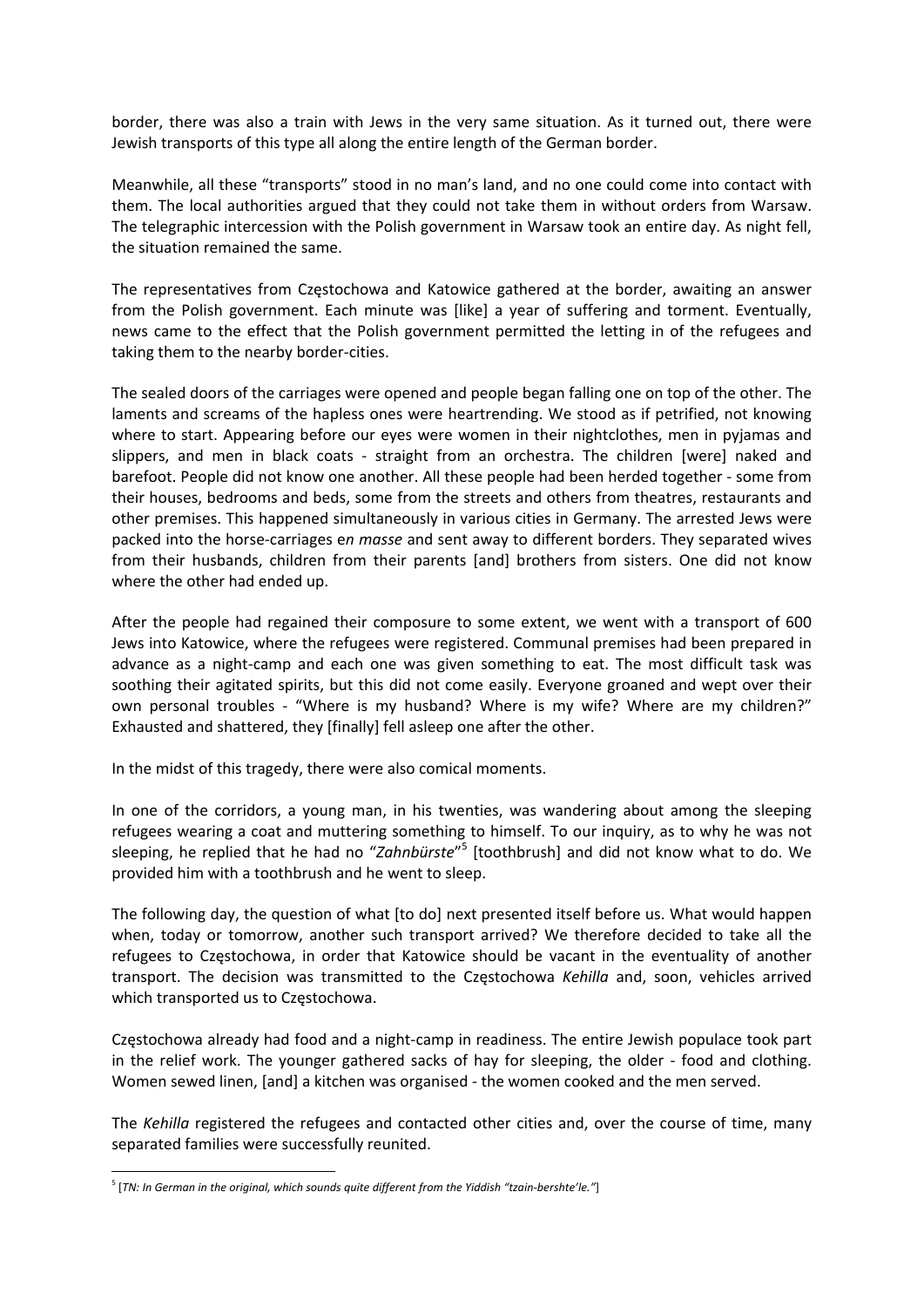border, there was also a train with Jews in the very same situation. As it turned out, there were Jewish transports of this type all along the entire length of the German border.

Meanwhile, all these "transports" stood in no man's land, and no one could come into contact with them. The local authorities argued that they could not take them in without orders from Warsaw. The telegraphic intercession with the Polish government in Warsaw took an entire day. As night fell, the situation remained the same.

The representatives from Częstochowa and Katowice gathered at the border, awaiting an answer from the Polish government. Each minute was [like] a year of suffering and torment. Eventually, news came to the effect that the Polish government permitted the letting in of the refugees and taking them to the nearby border‐cities.

The sealed doors of the carriages were opened and people began falling one on top of the other. The laments and screams of the hapless ones were heartrending. We stood as if petrified, not knowing where to start. Appearing before our eyes were women in their nightclothes, men in pyjamas and slippers, and men in black coats - straight from an orchestra. The children [were] naked and barefoot. People did not know one another. All these people had been herded together ‐ some from their houses, bedrooms and beds, some from the streets and others from theatres, restaurants and other premises. This happened simultaneously in various cities in Germany. The arrested Jews were packed into the horse‐carriages e*n masse* and sent away to different borders. They separated wives from their husbands, children from their parents [and] brothers from sisters. One did not know where the other had ended up.

After the people had regained their composure to some extent, we went with a transport of 600 Jews into Katowice, where the refugees were registered. Communal premises had been prepared in advance as a night‐camp and each one was given something to eat. The most difficult task was soothing their agitated spirits, but this did not come easily. Everyone groaned and wept over their own personal troubles - "Where is my husband? Where is my wife? Where are my children?" Exhausted and shattered, they [finally] fell asleep one after the other.

In the midst of this tragedy, there were also comical moments.

In one of the corridors, a young man, in his twenties, was wandering about among the sleeping refugees wearing a coat and muttering something to himself. To our inquiry, as to why he was not sleeping, he replied that he had no "*Zahnbürste*" <sup>5</sup> [toothbrush] and did not know what to do. We provided him with a toothbrush and he went to sleep.

The following day, the question of what [to do] next presented itself before us. What would happen when, today or tomorrow, another such transport arrived? We therefore decided to take all the refugees to Częstochowa, in order that Katowice should be vacant in the eventuality of another transport. The decision was transmitted to the Częstochowa *Kehilla* and, soon, vehicles arrived which transported us to Częstochowa.

Częstochowa already had food and a night‐camp in readiness. The entire Jewish populace took part in the relief work. The younger gathered sacks of hay for sleeping, the older - food and clothing. Women sewed linen, [and] a kitchen was organised ‐ the women cooked and the men served.

The *Kehilla* registered the refugees and contacted other cities and, over the course of time, many separated families were successfully reunited.

<sup>5</sup> [*TN: In German in the original, which sounds quite different from the Yiddish "tzain‐bershte'le."*]